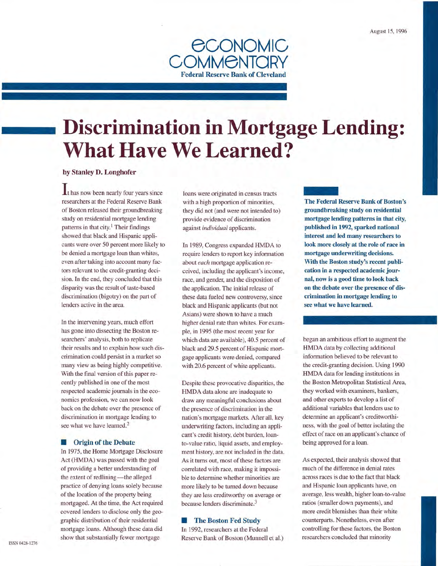

# **Discrimination in Mortgage Lending: What Have We Learned?**

# by Stanley D. Longhofer

 $\mathbf{I}$ t has now been nearly four years since researchers at the Federal Reserve Bank of Boston released their groundbreaking study on residential mortgage lending patterns in that city.<sup>1</sup> Their findings showed that black and Hispanic applicants were over 50 percent more likely to be denied a mortgage loan than whites, even after taking into account many factors relevant to the credit-granting decision. In the end, they concluded that this disparity was the result of taste-based discrimination (bigotry) on the part of lenders active in the area.

In the intervening years, much effort has gone into dissecting the Boston researchers' analysis, both to replicate their results and to explain how such discrimination could persist in a market so many view as being highly competitive. With the final version of this paper recently published in one of the most respected academic journals in the economics profession, we can now look back on the debate over the presence of discrimination in mortgage lending to see what we have learned.<sup>2</sup>

#### **• Origin of the Debate**

In 1975, the Home Mortgage Disclosure Act (HMDA) was passed with the goal of providing a better understanding of the extent of redlining-the alleged practice of denying loans solely because of the location of the property being mortgaged. At the time, the Act required covered lenders to disclose only the geographic distribution of their residential mortgage loans. Although these data did show that substantially fewer mortgage

loans were originated in census tracts with a high proportion of minorities, they did not (and were not intended to) provide evidence of discrimination against *individual* applicants.

In 1989, Congress expanded HMDA to require lenders to report key information about *each* mortgage application received, including the applicant's income, race, and gender, and the disposition of the application. The initial release of these data fueled new controversy, since black and Hispanic applicants (but not Asians) were shown to have a much higher denial rate than whites. For example, in 1995 (the most recent year for which data are available), 40.5 percent of black and 29.5 percent of Hispanic mortgage applicants were denied, compared with 20.6 percent of white applicants.

Despite these provocative disparities, the HMDA data alone are inadequate to draw any meaningful conclusions about the presence of discrimination in the nation's mortgage markets. After all, key underwriting factors, including an applicant's credit history, debt burden, loanto-value ratio, liquid assets, and employment history, are not included in the data. As it turns out, most of these factors are correlated with race, making it impossible to determine whether minorities are more likely to be turned down because they are less creditworthy on average or because lenders discriminate. 3

# **• The Boston Fed Study**

In 1992, researchers at the Federal Reserve Bank of Boston (Munnell et al.) The F<br>groun The Federal Reserve Bank of Boston's groundbreaking study on residential mortgage lending patterns in that city, published in 1992, sparked national interest and led many researchers to look more closely at the role of race in mortgage underwriting decisions. With the Boston study's recent publication in a respected academic journal, now is a good time to look back on the debate over the presence of discrimination in mortgage lending to see what we have learned.

began an ambitious effort to augment the HMDA data by collecting additional information believed to be relevant to the credit-granting decision. Using 1990 HMDA data for lending institutions in the Boston Metropolitan Statistical Area, they worked with examiners, bankers, and other experts to develop a list of additional variables that lenders use to determine an applicant's creditworthiness, with the goal of better isolating the effect of race on an applicant's chance of being approved for a loan.

As expected, their analysis showed that much of the difference in denial rates across races is due to the fact that black and Hispanic loan applicants have, on average, less wealth, higher loan-to-value ratios (smaller down payments), and more credit blemishes than their white counterparts. Nonetheless, even after controlling for these factors, the Boston researchers concluded that minority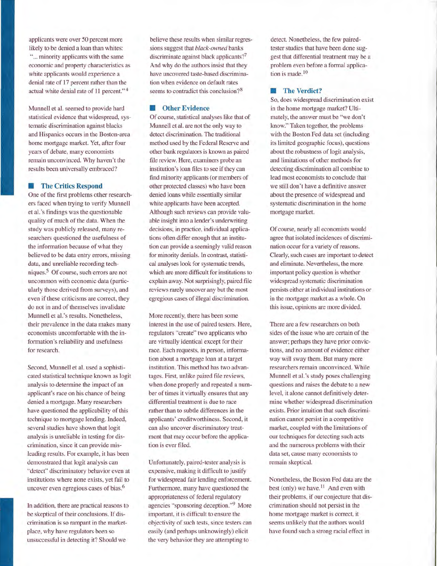applicants were over 50 percent more likely to be denied a loan than whites: "... minority applicants with the same economic and property characteristics as white applicants would experience a denial rate of 17 percent rather than the actual white denial rate of 11 percent." 4

Munnell et al. seemed to provide hard statistical evidence that widespread, systematic discrimination against blacks and Hispanics occurs in the Boston-area home mortgage market. Yet, after four years of debate, many economists remain unconvinced. Why haven't the results been universally embraced?

# **Exercities Respond**

One of the first problems other researchers faced when trying to verify Munnell et al.'s findings was the questionable quality of much of the data. When the study was publicly released, many researchers questioned the usefulness of the information because of what they believed to be data entry errors, missing data, and unreliable recording techniques.<sup>5</sup> Of course, such errors are not uncommon with economic data (particularly those derived from surveys), and even if these criticisms are correct, they do not in and of themselves invalidate Munnell et al.'s results. Nonetheless, their prevalence in the data makes many economists uncomfortable with the information's reliability and usefulness for research.

Second, Munnell et al. used a sophisticated statistical technique known as logit analysis to determine the impact of an applicant's race on his chance of being denied a mortgage. Many researchers have questioned the applicability of this technique to mortgage lending. Indeed, several studies have shown that logit analysis is unreliable in testing for discrimination, since it can provide misleading results. For example, it has been demonstrated that logit analysis can "detect" discriminatory behavior even at institutions where none exists, yet fail to uncover even egregious cases of bias. 6

In addition, there are practical reasons to be skeptical of their conclusions. If discrimination is so rampant in the marketplace, why have regulators been so unsuccessful in detecting it? Should we

believe these results when similar regressions suggest that *black-owned* banks discriminate against black applicants?<sup>7</sup> And why do the authors insist that they have uncovered taste-based discrimination when evidence on default rates seems to contradict this conclusion? <sup>8</sup>

#### **• Other Evidence**

Of course, statistical analyses like that of Munnell et al. are not the only way to detect discrimination. The traditional method used by the Federal Reserve and other bank regulators is known as paired file review. Here, examiners probe an institution's loan files to see if they can find minority applicants (or members of other protected classes) who have been denied loans while essentially similar white applicants have been accepted. Although such reviews can provide valuable insight into a lender's underwriting decisions, in practice, individual applications often differ enough that an institution can provide a seemingly valid reason for minority denials. In contrast, statistical analyses look for systematic trends, which are more difficult for institutions to explain away. Not surprisingly, paired file reviews rarely uncover any but the most egregious cases of illegal discrimination.

More recently, there has been some interest in the use of paired testers. Here, regulators "create" two applicants who are virtually identical except for their race. Each requests, in person, information about a mortgage loan at a target institution. This method has two advantages. First, unlike paired file reviews, when done properly and repeated a number of times it virtually ensures that any differential treatment is due to race rather than to subtle differences in the applicants' creditworthiness. Second, it can also uncover discriminatory treatment that may occur before the application is ever filed.

Unfortunately, paired-tester analysis is expensive, making it difficult to justify for widespread fair lending enforcement. Furthermore, many have questioned the appropriateness of federal regulatory agencies "sponsoring deception."9 More important, it is difficult to ensure the objectivity of such tests, since testers can easily (and perhaps unknowingly) elicit the very behavior they are attempting to

detect. Nonetheless, the few pairedtester studies that have been done suggest that differential treatment may be a problem even before a formal application is made.<sup>10</sup>

# **The Verdict?**

So, does widespread discrimination exist in the home mortgage market? Ultimately, the answer must be "we don't know." Taken together, the problems with the Boston Fed data set (including its limited geographic focus), questions about the robustness of logit analysis, and limitations of other methods for detecting discrimination all combine to lead most economists to conclude that we still don't have a definitive answer about the presence of widespread and systematic discrimination in the home mortgage market.

Of course, nearly all economists would agree that isolated incidences of discrimination occur for a variety of reasons. Clearly, such cases are important to detect and eliminate. Nevertheless, the more important policy question is whether widespread systematic discrimination persists either at individual institutions or in the mortgage market as a whole. On this issue, opinions are more divided.

There are a few researchers on both sides of the issue who are certain of the answer; perhaps they have prior convictions, and no amount of evidence either way will sway them. But many more researchers remain unconvinced. While Munnell et al.'s study poses challenging questions and raises the debate to a new level, it alone cannot definitively determine whether widespread discrimination exists. Prior intuition that such discrimination cannot persist in a competitive market, coupled with the limitations of our techniques for detecting such acts and the numerous problems with their data set, cause many economists to remain skeptical.

Nonetheless, the Boston Fed data are the best (only) we have.<sup>11</sup> And even with their problems, if our conjecture that discrimination should not persist in the home mortgage market is correct, it seems unlikely that the authors would have found such a strong racial effect in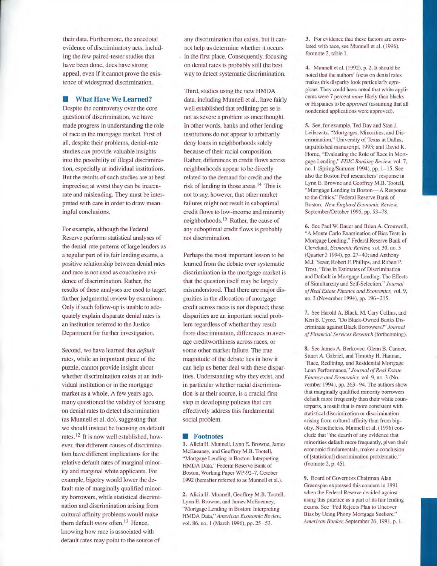their data. Furthermore, the anecdotal evidence of discriminatory acts, including the few paired-tester studies that have been done, does have strong appeal, even if it cannot prove the existence of widespread discrimination.

# **• What Have We Learned?**

Despite the controversy over the core question of discrimination, we have made progress in understanding the role of race in the mortgage market. First of all, despite their problems, denial-rate studies *can* provide valuable insights into the possibility of illegal discrimination, especially at individual institutions. But the results of such studies are at best imprecise; at worst they can be inaccurate and misleading. They must be interpreted with care in order to draw meaningful conclusions.

For example, although the Federal Reserve performs statistical analyses of the denial-rate patterns of large lenders as a regular part of its fair lending exams, a positive relationship between denial rates and race is not used as conclusive evidence of discrimination. Rather, the results of these analyses are used to target further judgmental review by examiners. Only if such follow-up is unable to adequately explain disparate denial rates is an institution referred to the Justice Department for further investigation.

Second, we have learned that *default* rates, while an important piece of the puzzle, cannot provide insight about whether discrimination exists at an individual institution or in the mortgage market as a whole. A few years ago, many questioned the validity of focusing on denial rates to detect discrimination (as Munnell et al. do), suggesting that we should instead be focusing on default rates. 12 It is now well established, however, that different causes of discrimination have different implications for the relative default rates of marginal minority and marginal white applicants. For example, bigotry would lower the default rate of marginally qualified minority borrowers, while statistical discrimination and discrimination arising from cultural affinity problems would make them default *more* often.<sup>13</sup> Hence, knowing how race is associated with default rates may point to the source of

any discrimination that exists, but it cannot help us determine whether it occurs in the first place. Consequently, focusing on denial rates is probably still the best way to detect systematic discrimination.

Third, studies using the new HMDA data, including Munnell et al., have fairly well established that redlining per se is not as severe a problem as once thought. In other words, banks and other lending institutions do not appear to arbitrarily deny loans in neighborhoods solely because of their racial composition. Rather, differences in credit flows across neighborhoods appear to be directly related to the demand for credit and the risk of lending in those areas.<sup>14</sup> This is not to say, however, that other market failures might not result in suboptimal credit flows to low-income and minority neighborhoods.<sup>15</sup> Rather, the cause of any suboptimal credit flows is probably not discrimination.

Perhaps the most important lesson to be learned from the debate over systematic discrimination in the mortgage market is that the question itself may be largely misunderstood. That there are major disparities in the allocation of mortgage credit across races is not disputed; these disparities are an important social problem regardless of whether they result from discrimination, differences in average creditworthiness across races, or some other market failure. The true magnitude of the debate lies in how it can help us better deal with these disparities. Understanding why they exist, and in particular whether racial discrimination is at their source, is a crucial first step in developing policies that can effectively address this fundamental social problem.

#### **Footnotes**

**1.** Alicia H. Munnell, Lynn E. Browne, James McEneaney, and Geoffrey M.B. Tootell, "Mortgage Lending in Boston: Interpreting HMDA Data," Federal Reserve Bank of Boston, Working Paper WP-92-7, October 1992 (hereafter referred to as Munnell et al.).

2. Alicia H. Munnell, Geoffrey M.B. Tootell, Lynn E. Browne, and James McEneaney, "Mortgage Lending in Boston: Interpreting HMDA Data," *American Economic Review,*  vol. 86, no. 1 (March 1996), pp. 25-53.

3. For evidence that these factors are correlated with race, see Munnell et al. (1996), footnote 2, table 1.

**4.** Munnell et al. (1992), p. 2. It should be noted that the authors' focus on denial rates makes tbis disparity look particularly egregious. They could have noted that white applicants were 7 percent *more* likely than blacks or Hispanics to be *approved* (assuming that all nondenied applications were approved).

5. See, for example, Ted Day and Stan J. Leibowitz, "Mortgages, Minorities, and Discrimination," University of Texas at Dallas, unpublisbed manuscript, 1993; and David K. Horne, "Evaluating the Role of Race in Mortgage Lending," *FDIC Banking Review,* vol. 7, no. I (Spring/Summer 1994), pp. 1-15. See also tbe Boston Fed researchers' response in Lynn E. Browne and Geoffrey M.B. Tootell, "Mortgage Lending in Boston-A Response to the Critics," Federal Reserve Bank of Boston, *New England Economic Review,*  September/October 1995, pp. 53-78.

6. See Paul W. Bauer and Brian A. Cromwell, "A Monte Carlo Examination of Bias Tests in Mortgage Lending," Federal Reserve Bank of Cleveland, *Economic Review,* vol. 30, no. 3 (Quarter 3 1994), pp. 27-40; and Anthony M.J. Yezer, Robert F. Phillips, and Roben P. Trost, "Bias in Estimates of Discrimination and Default in Mortgage Lending: The Effects of Simultaneity and Self-Selection," *Joumal of Real Estate Finance and Economics,* vol. 9, no. 3 (November 1994), pp. 196-215.

7. See Harold A. Black, M. Cary Collins, and Ken B. Cyree, "Do Black-Owned Banks Discriminate against Black Borrowers?" *Joumal of Financial Services Research* (fortbcoming).

8. See James A. Berkovec, Glenn B. Canner, Stuart A. Gabriel, and Timothy H. Hannan, "Race, Redlining, and Residential Mortgage Loan Performance," *Journal of Real Estate Finance and Economics,* vol. 9, no. 3 (November 1994), pp. 263-94. The authors show that marginally qualified minority borrowers default more frequently than their white counterparts, a result that is more consistent with statistical discrimination or discrimination arising from cultural affinity than from bigotry. Nonetheless, Munnell et al. (1996) conclude that "tbe dearth of any evidence tbat minorities default more frequently, given their economic fundamentals, makes a conclusion of [statistical] discrimination problematic." (footnote 2, p. 45).

9. Board of Governors Chairman Alan Greenspan expressed this concern in 1991 when the Federal Reserve decided against using this practice as a part of its fair lending exams. See "Fed Rejects Plan to Uncover Bias by Using Phony Mortgage Seekers," American Banker, September 26, 1991, p. 1.